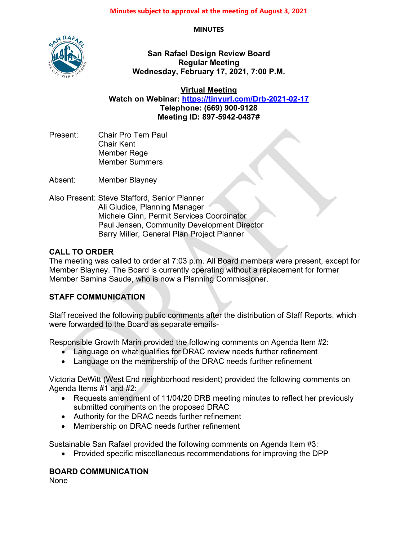**MINUTES**



**San Rafael Design Review Board Regular Meeting Wednesday, February 17, 2021, 7:00 P.M.**

**Virtual Meeting**

**Watch on Webinar: <https://tinyurl.com/Drb-2021-02-17> Telephone: (669) 900-9128 Meeting ID: 897-5942-0487#**

Present: Chair Pro Tem Paul Chair Kent Member Rege Member Summers

Absent: Member Blayney

Also Present: Steve Stafford, Senior Planner Ali Giudice, Planning Manager Michele Ginn, Permit Services Coordinator Paul Jensen, Community Development Director Barry Miller, General Plan Project Planner

## **CALL TO ORDER**

The meeting was called to order at 7:03 p.m. All Board members were present, except for Member Blayney. The Board is currently operating without a replacement for former Member Samina Saude, who is now a Planning Commissioner.

## **STAFF COMMUNICATION**

Staff received the following public comments after the distribution of Staff Reports, which were forwarded to the Board as separate emails-

Responsible Growth Marin provided the following comments on Agenda Item #2:

- Language on what qualifies for DRAC review needs further refinement
- Language on the membership of the DRAC needs further refinement

Victoria DeWitt (West End neighborhood resident) provided the following comments on Agenda Items #1 and #2:

- Requests amendment of 11/04/20 DRB meeting minutes to reflect her previously submitted comments on the proposed DRAC
- Authority for the DRAC needs further refinement
- Membership on DRAC needs further refinement

Sustainable San Rafael provided the following comments on Agenda Item #3:

• Provided specific miscellaneous recommendations for improving the DPP

## **BOARD COMMUNICATION**

None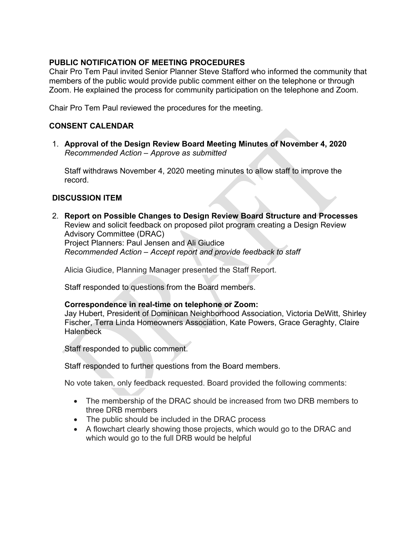## **PUBLIC NOTIFICATION OF MEETING PROCEDURES**

Chair Pro Tem Paul invited Senior Planner Steve Stafford who informed the community that members of the public would provide public comment either on the telephone or through Zoom. He explained the process for community participation on the telephone and Zoom.

Chair Pro Tem Paul reviewed the procedures for the meeting.

#### **CONSENT CALENDAR**

1. **Approval of the Design Review Board Meeting Minutes of November 4, 2020** *Recommended Action – Approve as submitted*

Staff withdraws November 4, 2020 meeting minutes to allow staff to improve the record.

#### **DISCUSSION ITEM**

2. **Report on Possible Changes to Design Review Board Structure and Processes** Review and solicit feedback on proposed pilot program creating a Design Review Advisory Committee (DRAC) Project Planners: Paul Jensen and Ali Giudice *Recommended Action – Accept report and provide feedback to staff*

Alicia Giudice, Planning Manager presented the Staff Report.

Staff responded to questions from the Board members.

#### **Correspondence in real-time on telephone or Zoom:**

Jay Hubert, President of Dominican Neighborhood Association, Victoria DeWitt, Shirley Fischer, Terra Linda Homeowners Association, Kate Powers, Grace Geraghty, Claire **Halenbeck** 

Staff responded to public comment.

Staff responded to further questions from the Board members.

No vote taken, only feedback requested. Board provided the following comments:

- The membership of the DRAC should be increased from two DRB members to three DRB members
- The public should be included in the DRAC process
- A flowchart clearly showing those projects, which would go to the DRAC and which would go to the full DRB would be helpful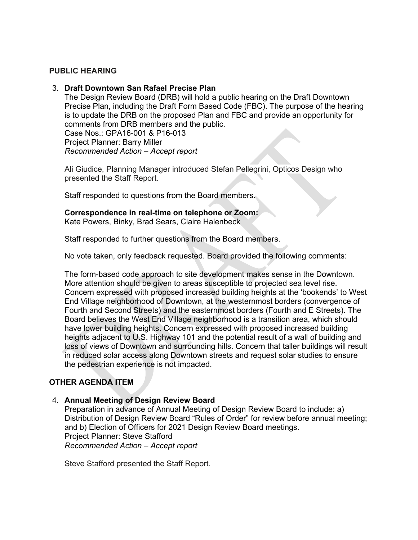#### **PUBLIC HEARING**

#### 3. **Draft Downtown San Rafael Precise Plan**

The Design Review Board (DRB) will hold a public hearing on the Draft Downtown Precise Plan, including the Draft Form Based Code (FBC). The purpose of the hearing is to update the DRB on the proposed Plan and FBC and provide an opportunity for comments from DRB members and the public. Case Nos.: GPA16-001 & P16-013 Project Planner: Barry Miller

*Recommended Action – Accept report*

Ali Giudice, Planning Manager introduced Stefan Pellegrini, Opticos Design who presented the Staff Report.

Staff responded to questions from the Board members.

## **Correspondence in real-time on telephone or Zoom:**

Kate Powers, Binky, Brad Sears, Claire Halenbeck

Staff responded to further questions from the Board members.

No vote taken, only feedback requested. Board provided the following comments:

The form-based code approach to site development makes sense in the Downtown. More attention should be given to areas susceptible to projected sea level rise. Concern expressed with proposed increased building heights at the 'bookends' to West End Village neighborhood of Downtown, at the westernmost borders (convergence of Fourth and Second Streets) and the easternmost borders (Fourth and E Streets). The Board believes the West End Village neighborhood is a transition area, which should have lower building heights. Concern expressed with proposed increased building heights adjacent to U.S. Highway 101 and the potential result of a wall of building and loss of views of Downtown and surrounding hills. Concern that taller buildings will result in reduced solar access along Downtown streets and request solar studies to ensure the pedestrian experience is not impacted.

## **OTHER AGENDA ITEM**

#### 4. **Annual Meeting of Design Review Board**

Preparation in advance of Annual Meeting of Design Review Board to include: a) Distribution of Design Review Board "Rules of Order" for review before annual meeting; and b) Election of Officers for 2021 Design Review Board meetings. Project Planner: Steve Stafford *Recommended Action – Accept report*

Steve Stafford presented the Staff Report.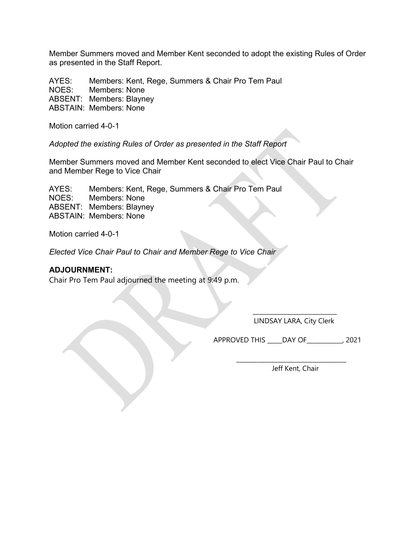Member Summers moved and Member Kent seconded to adopt the existing Rules of Order as presented in the Staff Report.

AYES: Members: Kent, Rege, Summers & Chair Pro Tem Paul NOES: Members: None ABSENT: Members: Blayney ABSTAIN: Members: None

Motion carried 4-0-1

*Adopted the existing Rules of Order as presented in the Staff Report*

Member Summers moved and Member Kent seconded to elect Vice Chair Paul to Chair and Member Rege to Vice Chair

 $\blacksquare$ 

AYES: Members: Kent, Rege, Summers & Chair Pro Tem Paul NOES: Members: None ABSENT: Members: Blayney ABSTAIN: Members: None

Motion carried 4-0-1

*Elected Vice Chair Paul to Chair and Member Rege to Vice Chair*

#### **ADJOURNMENT:**

Chair Pro Tem Paul adjourned the meeting at 9:49 p.m.

\_\_\_\_\_\_\_\_\_\_\_\_\_\_\_\_\_\_\_\_\_\_\_\_\_\_\_ LINDSAY LARA, City Clerk

APPROVED THIS \_\_\_\_\_DAY OF\_\_\_\_\_\_\_\_\_\_\_\_, 2021

Jeff Kent, Chair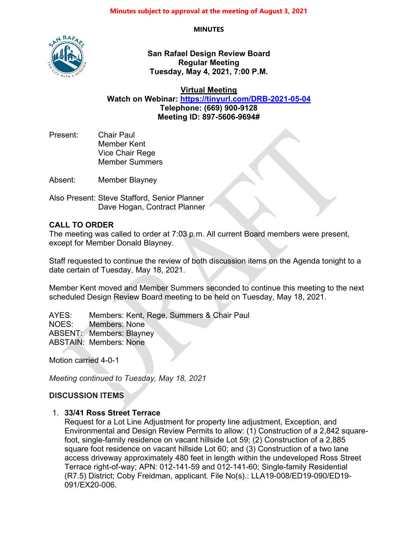**MINUTES**



**San Rafael Design Review Board Regular Meeting Tuesday, May 4, 2021, 7:00 P.M.**

**Virtual Meeting Watch on Webinar: <https://tinyurl.com/DRB-2021-05-04> Telephone: (669) 900-9128 Meeting ID: 897-5606-9694#**

Present: Chair Paul Member Kent Vice Chair Rege Member Summers

Absent: Member Blayney

Also Present: Steve Stafford, Senior Planner Dave Hogan, Contract Planner

#### **CALL TO ORDER**

The meeting was called to order at 7:03 p.m. All current Board members were present, except for Member Donald Blayney.

Staff requested to continue the review of both discussion items on the Agenda tonight to a date certain of Tuesday, May 18, 2021.

Member Kent moved and Member Summers seconded to continue this meeting to the next scheduled Design Review Board meeting to be held on Tuesday, May 18, 2021.

AYES: Members: Kent, Rege, Summers & Chair Paul NOES: Members: None ABSENT: Members: Blayney ABSTAIN: Members: None

Motion carried 4-0-1

*Meeting continued to Tuesday, May 18, 2021*

#### **DISCUSSION ITEMS**

#### 1. **33/41 Ross Street Terrace**

Request for a Lot Line Adjustment for property line adjustment, Exception, and Environmental and Design Review Permits to allow: (1) Construction of a 2,842 squarefoot, single-family residence on vacant hillside Lot 59; (2) Construction of a 2,885 square foot residence on vacant hillside Lot 60; and (3) Construction of a two lane access driveway approximately 480 feet in length within the undeveloped Ross Street Terrace right-of-way; APN: 012-141-59 and 012-141-60; Single-family Residential (R7.5) District; Coby Freidman, applicant. File No(s).: LLA19-008/ED19-090/ED19- 091/EX20-006.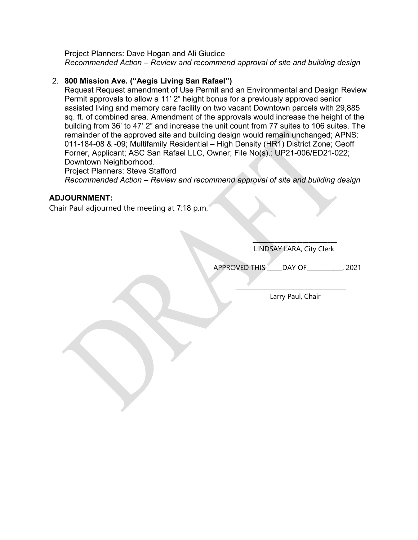Project Planners: Dave Hogan and Ali Giudice *Recommended Action – Review and recommend approval of site and building design*

## 2. **800 Mission Ave. ("Aegis Living San Rafael")**

Request Request amendment of Use Permit and an Environmental and Design Review Permit approvals to allow a 11' 2" height bonus for a previously approved senior assisted living and memory care facility on two vacant Downtown parcels with 29,885 sq. ft. of combined area. Amendment of the approvals would increase the height of the building from 36' to 47' 2" and increase the unit count from 77 suites to 106 suites. The remainder of the approved site and building design would remain unchanged; APNS: 011-184-08 & -09; Multifamily Residential – High Density (HR1) District Zone; Geoff Forner, Applicant; ASC San Rafael LLC, Owner; File No(s).: UP21-006/ED21-022; Downtown Neighborhood.

Project Planners: Steve Stafford *Recommended Action – Review and recommend approval of site and building design*

 $\mathcal{L}=\mathcal{L}=\mathcal{L}=\mathcal{L}=\mathcal{L}=\mathcal{L}=\mathcal{L}=\mathcal{L}=\mathcal{L}=\mathcal{L}=\mathcal{L}=\mathcal{L}=\mathcal{L}=\mathcal{L}=\mathcal{L}=\mathcal{L}=\mathcal{L}=\mathcal{L}=\mathcal{L}=\mathcal{L}=\mathcal{L}=\mathcal{L}=\mathcal{L}=\mathcal{L}=\mathcal{L}=\mathcal{L}=\mathcal{L}=\mathcal{L}=\mathcal{L}=\mathcal{L}=\mathcal{L}=\mathcal{L}=\mathcal{L}=\mathcal{L}=\mathcal{L}=\mathcal{L}=\mathcal{$ 

#### **ADJOURNMENT:**

Chair Paul adjourned the meeting at 7:18 p.m.

 $\overline{\phantom{a}}$  , where  $\overline{\phantom{a}}$ LINDSAY LARA, City Clerk

APPROVED THIS \_\_\_\_\_DAY OF\_\_\_\_\_\_\_\_\_\_\_\_, 2021

Larry Paul, Chair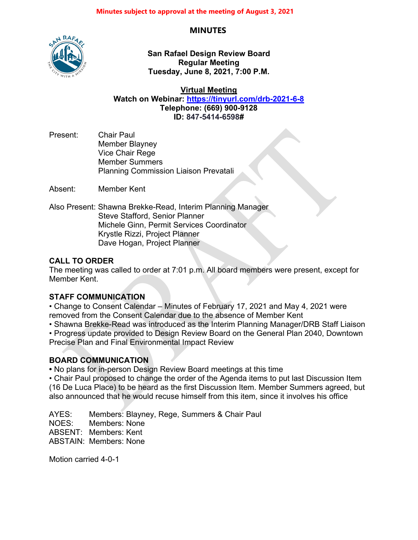## **MINUTES**



**San Rafael Design Review Board Regular Meeting Tuesday, June 8, 2021, 7:00 P.M.**

**Virtual Meeting**

**Watch on Webinar: <https://tinyurl.com/drb-2021-6-8> Telephone: (669) 900-9128 ID: 847-5414-6598#**

Present: Chair Paul Member Blayney Vice Chair Rege Member Summers Planning Commission Liaison Prevatali

Absent: Member Kent

Also Present: Shawna Brekke-Read, Interim Planning Manager Steve Stafford, Senior Planner Michele Ginn, Permit Services Coordinator Krystle Rizzi, Project Planner Dave Hogan, Project Planner

## **CALL TO ORDER**

The meeting was called to order at 7:01 p.m. All board members were present, except for Member Kent.

## **STAFF COMMUNICATION**

• Change to Consent Calendar – Minutes of February 17, 2021 and May 4, 2021 were removed from the Consent Calendar due to the absence of Member Kent

• Shawna Brekke-Read was introduced as the Interim Planning Manager/DRB Staff Liaison

• Progress update provided to Design Review Board on the General Plan 2040, Downtown Precise Plan and Final Environmental Impact Review

## **BOARD COMMUNICATION**

**•** No plans for in-person Design Review Board meetings at this time

• Chair Paul proposed to change the order of the Agenda items to put last Discussion Item (16 De Luca Place) to be heard as the first Discussion Item. Member Summers agreed, but also announced that he would recuse himself from this item, since it involves his office

AYES: Members: Blayney, Rege, Summers & Chair Paul NOES: Members: None ABSENT: Members: Kent ABSTAIN: Members: None

Motion carried 4-0-1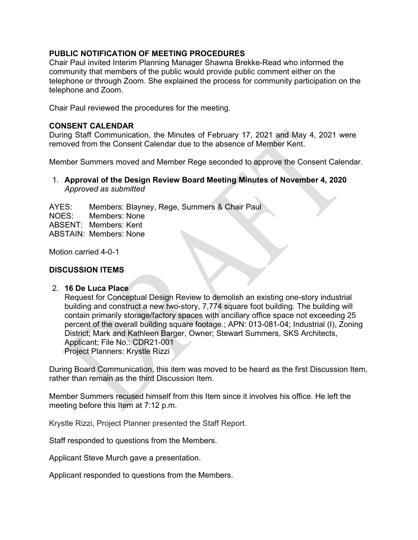#### **PUBLIC NOTIFICATION OF MEETING PROCEDURES**

Chair Paul invited Interim Planning Manager Shawna Brekke-Read who informed the community that members of the public would provide public comment either on the telephone or through Zoom. She explained the process for community participation on the telephone and Zoom.

Chair Paul reviewed the procedures for the meeting.

#### **CONSENT CALENDAR**

During Staff Communication, the Minutes of February 17, 2021 and May 4, 2021 were removed from the Consent Calendar due to the absence of Member Kent.

Member Summers moved and Member Rege seconded to approve the Consent Calendar.

#### 1. **Approval of the Design Review Board Meeting Minutes of November 4, 2020** *Approved as submitted*

AYES: Members: Blayney, Rege, Summers & Chair Paul NOES: Members: None ABSENT: Members: Kent ABSTAIN: Members: None

Motion carried 4-0-1

#### **DISCUSSION ITEMS**

#### 2. **16 De Luca Place**

Request for Conceptual Design Review to demolish an existing one-story industrial building and construct a new two-story, 7,774 square foot building. The building will contain primarily storage/factory spaces with ancillary office space not exceeding 25 percent of the overall building square footage.; APN: 013-081-04; Industrial (I), Zoning District; Mark and Kathleen Barger, Owner; Stewart Summers, SKS Architects, Applicant; File No.: CDR21-001 Project Planners: Krystle Rizzi

During Board Communication, this item was moved to be heard as the first Discussion Item, rather than remain as the third Discussion Item.

Member Summers recused himself from this Item since it involves his office. He left the meeting before this Item at 7:12 p.m.

Krystle Rizzi, Project Planner presented the Staff Report.

Staff responded to questions from the Members.

Applicant Steve Murch gave a presentation.

Applicant responded to questions from the Members.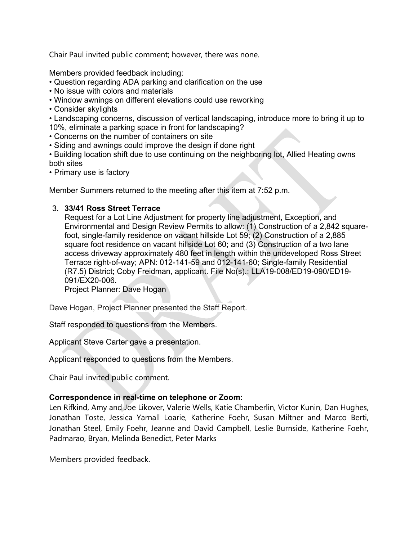Chair Paul invited public comment; however, there was none.

Members provided feedback including:

- Question regarding ADA parking and clarification on the use
- No issue with colors and materials
- Window awnings on different elevations could use reworking
- Consider skylights

• Landscaping concerns, discussion of vertical landscaping, introduce more to bring it up to 10%, eliminate a parking space in front for landscaping?

- Concerns on the number of containers on site
- Siding and awnings could improve the design if done right

• Building location shift due to use continuing on the neighboring lot, Allied Heating owns both sites

• Primary use is factory

Member Summers returned to the meeting after this item at 7:52 p.m.

## 3. **33/41 Ross Street Terrace**

Request for a Lot Line Adjustment for property line adjustment, Exception, and Environmental and Design Review Permits to allow: (1) Construction of a 2,842 squarefoot, single-family residence on vacant hillside Lot 59; (2) Construction of a 2,885 square foot residence on vacant hillside Lot 60; and (3) Construction of a two lane access driveway approximately 480 feet in length within the undeveloped Ross Street Terrace right-of-way; APN: 012-141-59 and 012-141-60; Single-family Residential (R7.5) District; Coby Freidman, applicant. File No(s).: LLA19-008/ED19-090/ED19- 091/EX20-006.

Project Planner: Dave Hogan

Dave Hogan, Project Planner presented the Staff Report.

Staff responded to questions from the Members.

Applicant Steve Carter gave a presentation.

Applicant responded to questions from the Members.

Chair Paul invited public comment.

## **Correspondence in real-time on telephone or Zoom:**

Len Rifkind, Amy and Joe Likover, Valerie Wells, Katie Chamberlin, Victor Kunin, Dan Hughes, Jonathan Toste, Jessica Yarnall Loarie, Katherine Foehr, Susan Miltner and Marco Berti, Jonathan Steel, Emily Foehr, Jeanne and David Campbell, Leslie Burnside, Katherine Foehr, Padmarao, Bryan, Melinda Benedict, Peter Marks

Members provided feedback.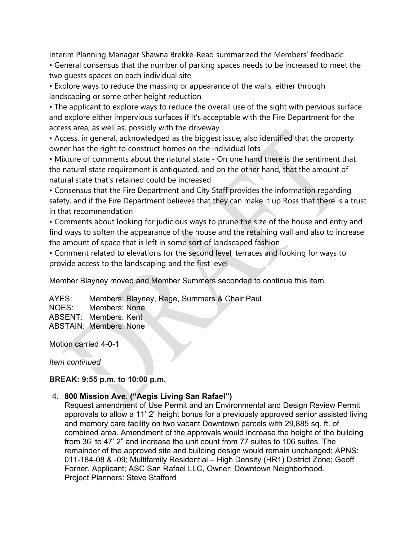Interim Planning Manager Shawna Brekke-Read summarized the Members' feedback:

• General consensus that the number of parking spaces needs to be increased to meet the two guests spaces on each individual site

• Explore ways to reduce the massing or appearance of the walls, either through landscaping or some other height reduction

• The applicant to explore ways to reduce the overall use of the sight with pervious surface and explore either impervious surfaces if it's acceptable with the Fire Department for the access area, as well as, possibly with the driveway

• Access, in general, acknowledged as the biggest issue, also identified that the property owner has the right to construct homes on the individual lots

• Mixture of comments about the natural state - On one hand there is the sentiment that the natural state requirement is antiquated, and on the other hand, that the amount of natural state that's retained could be increased

• Consensus that the Fire Department and City Staff provides the information regarding safety, and if the Fire Department believes that they can make it up Ross that there is a trust in that recommendation

• Comments about looking for judicious ways to prune the size of the house and entry and find ways to soften the appearance of the house and the retaining wall and also to increase the amount of space that is left in some sort of landscaped fashion

• Comment related to elevations for the second level, terraces and looking for ways to provide access to the landscaping and the first level

Member Blayney moved and Member Summers seconded to continue this item.

AYES: Members: Blayney, Rege, Summers & Chair Paul NOES: Members: None ABSENT: Members: Kent ABSTAIN: Members: None

Motion carried 4-0-1

*Item continued*

## **BREAK: 9:55 p.m. to 10:00 p.m.**

## 4. **800 Mission Ave. ("Aegis Living San Rafael")**

Request amendment of Use Permit and an Environmental and Design Review Permit approvals to allow a 11' 2" height bonus for a previously approved senior assisted living and memory care facility on two vacant Downtown parcels with 29,885 sq. ft. of combined area. Amendment of the approvals would increase the height of the building from 36' to 47' 2" and increase the unit count from 77 suites to 106 suites. The remainder of the approved site and building design would remain unchanged; APNS: 011-184-08 & -09; Multifamily Residential – High Density (HR1) District Zone; Geoff Forner, Applicant; ASC San Rafael LLC, Owner; Downtown Neighborhood. Project Planners: Steve Stafford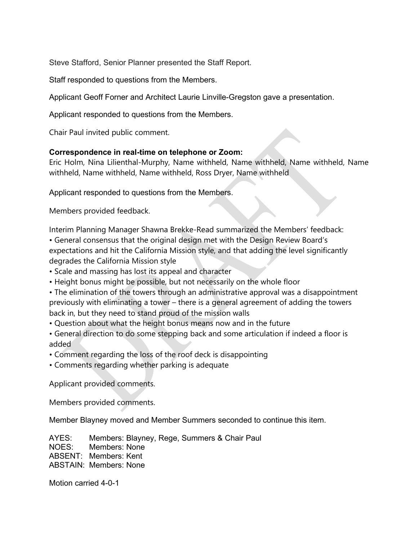Steve Stafford, Senior Planner presented the Staff Report.

Staff responded to questions from the Members.

Applicant Geoff Forner and Architect Laurie Linville-Gregston gave a presentation.

Applicant responded to questions from the Members.

Chair Paul invited public comment.

#### **Correspondence in real-time on telephone or Zoom:**

Eric Holm, Nina Lilienthal-Murphy, Name withheld, Name withheld, Name withheld, Name withheld, Name withheld, Name withheld, Ross Dryer, Name withheld

Applicant responded to questions from the Members.

Members provided feedback.

Interim Planning Manager Shawna Brekke-Read summarized the Members' feedback:

• General consensus that the original design met with the Design Review Board's expectations and hit the California Mission style, and that adding the level significantly degrades the California Mission style

- Scale and massing has lost its appeal and character
- Height bonus might be possible, but not necessarily on the whole floor
- The elimination of the towers through an administrative approval was a disappointment previously with eliminating a tower – there is a general agreement of adding the towers back in, but they need to stand proud of the mission walls
- Question about what the height bonus means now and in the future
- General direction to do some stepping back and some articulation if indeed a floor is added
- Comment regarding the loss of the roof deck is disappointing
- Comments regarding whether parking is adequate

Applicant provided comments.

Members provided comments.

Member Blayney moved and Member Summers seconded to continue this item.

AYES: Members: Blayney, Rege, Summers & Chair Paul NOES: Members: None ABSENT: Members: Kent ABSTAIN: Members: None

Motion carried 4-0-1